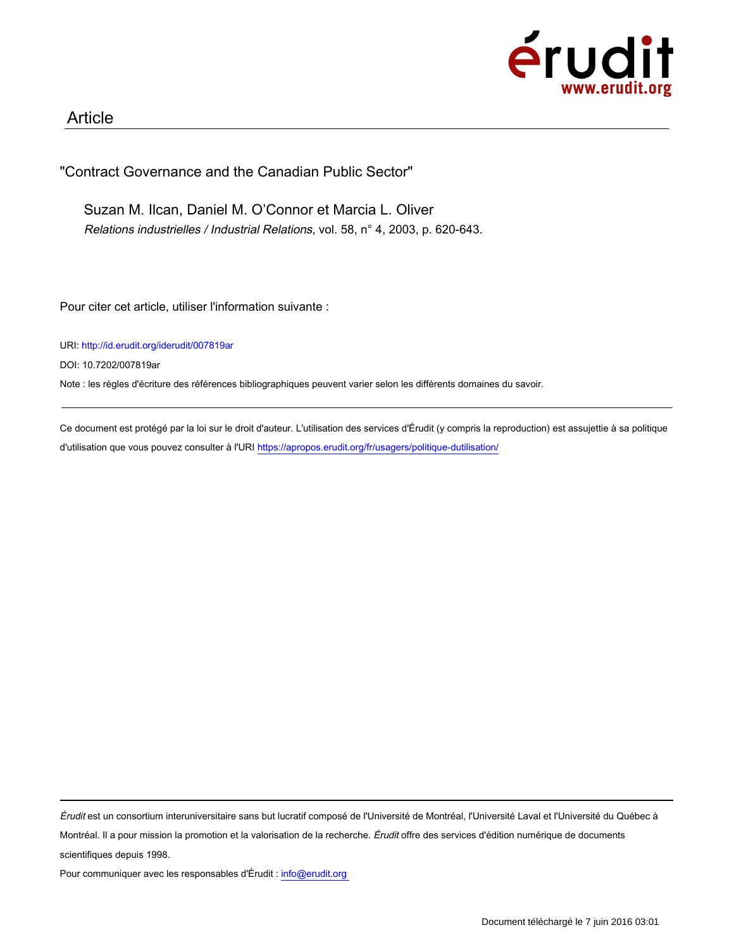

# Article

"Contract Governance and the Canadian Public Sector"

Suzan M. Ilcan, Daniel M. O'Connor et Marcia L. Oliver Relations industrielles / Industrial Relations, vol. 58, n° 4, 2003, p. 620-643.

Pour citer cet article, utiliser l'information suivante :

URI: http://id.erudit.org/iderudit/007819ar

DOI: 10.7202/007819ar

Note : les règles d'écriture des références bibliographiques peuvent varier selon les différents domaines du savoir.

Ce document est protégé par la loi sur le droit d'auteur. L'utilisation des services d'Érudit (y compris la reproduction) est assujettie à sa politique d'utilisation que vous pouvez consulter à l'URI https://apropos.erudit.org/fr/usagers/politique-dutilisation/

Érudit est un consortium interuniversitaire sans but lucratif composé de l'Université de Montréal, l'Université Laval et l'Université du Québec à Montréal. Il a pour mission la promotion et la valorisation de la recherche. Érudit offre des services d'édition numérique de documents scientifiques depuis 1998.

Pour communiquer avec les responsables d'Érudit : info@erudit.org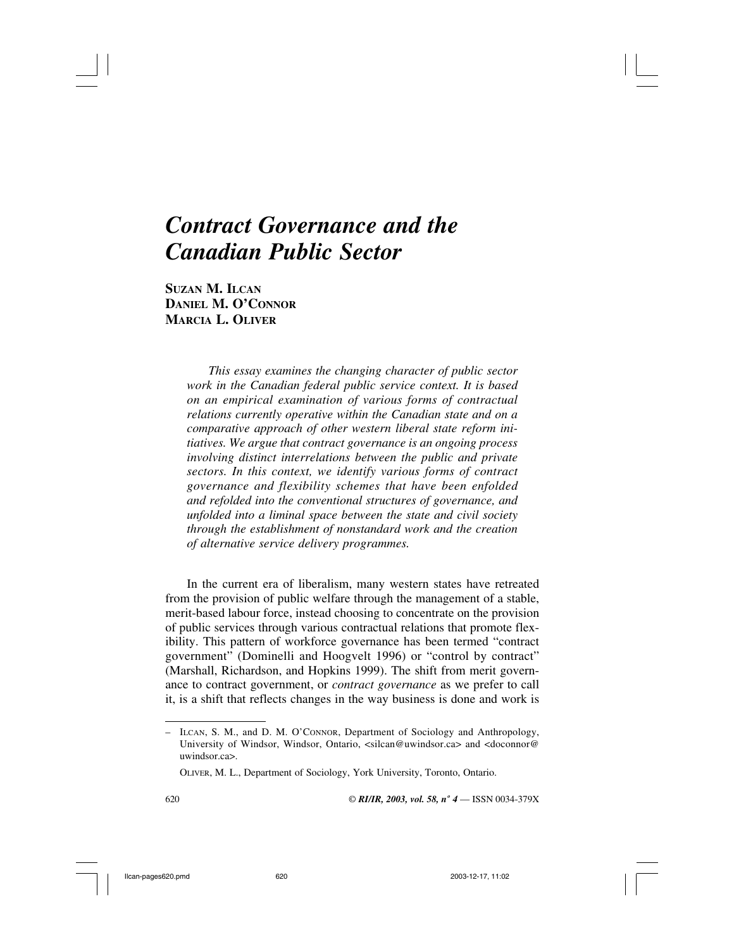# *Contract Governance and the Canadian Public Sector*

**SUZAN M. ILCAN DANIEL M. O'CONNOR MARCIA L. OLIVER**

> *This essay examines the changing character of public sector work in the Canadian federal public service context. It is based on an empirical examination of various forms of contractual relations currently operative within the Canadian state and on a comparative approach of other western liberal state reform initiatives. We argue that contract governance is an ongoing process involving distinct interrelations between the public and private sectors. In this context, we identify various forms of contract governance and flexibility schemes that have been enfolded and refolded into the conventional structures of governance, and unfolded into a liminal space between the state and civil society through the establishment of nonstandard work and the creation of alternative service delivery programmes.*

In the current era of liberalism, many western states have retreated from the provision of public welfare through the management of a stable, merit-based labour force, instead choosing to concentrate on the provision of public services through various contractual relations that promote flexibility. This pattern of workforce governance has been termed "contract government" (Dominelli and Hoogvelt 1996) or "control by contract" (Marshall, Richardson, and Hopkins 1999). The shift from merit governance to contract government, or *contract governance* as we prefer to call it, is a shift that reflects changes in the way business is done and work is

<sup>–</sup> ILCAN, S. M., and D. M. O'CONNOR, Department of Sociology and Anthropology, University of Windsor, Windsor, Ontario, <silcan@uwindsor.ca> and <doconnor@ uwindsor.ca>.

OLIVER, M. L., Department of Sociology, York University, Toronto, Ontario.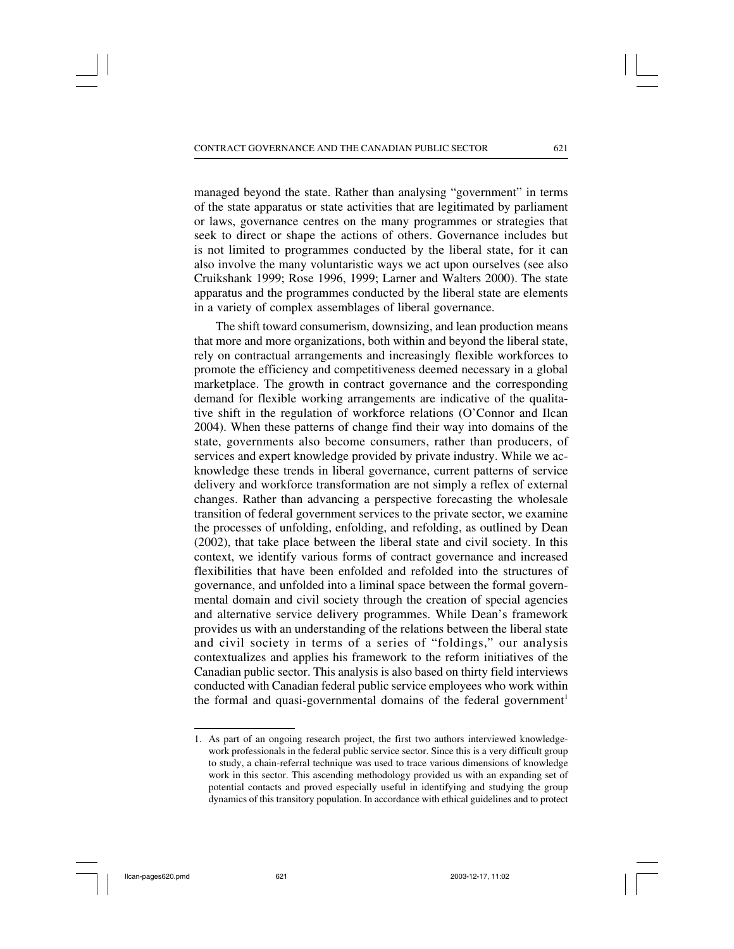managed beyond the state. Rather than analysing "government" in terms of the state apparatus or state activities that are legitimated by parliament or laws, governance centres on the many programmes or strategies that seek to direct or shape the actions of others. Governance includes but is not limited to programmes conducted by the liberal state, for it can also involve the many voluntaristic ways we act upon ourselves (see also Cruikshank 1999; Rose 1996, 1999; Larner and Walters 2000). The state apparatus and the programmes conducted by the liberal state are elements in a variety of complex assemblages of liberal governance.

The shift toward consumerism, downsizing, and lean production means that more and more organizations, both within and beyond the liberal state, rely on contractual arrangements and increasingly flexible workforces to promote the efficiency and competitiveness deemed necessary in a global marketplace. The growth in contract governance and the corresponding demand for flexible working arrangements are indicative of the qualitative shift in the regulation of workforce relations (O'Connor and Ilcan 2004). When these patterns of change find their way into domains of the state, governments also become consumers, rather than producers, of services and expert knowledge provided by private industry. While we acknowledge these trends in liberal governance, current patterns of service delivery and workforce transformation are not simply a reflex of external changes. Rather than advancing a perspective forecasting the wholesale transition of federal government services to the private sector, we examine the processes of unfolding, enfolding, and refolding, as outlined by Dean (2002), that take place between the liberal state and civil society. In this context, we identify various forms of contract governance and increased flexibilities that have been enfolded and refolded into the structures of governance, and unfolded into a liminal space between the formal governmental domain and civil society through the creation of special agencies and alternative service delivery programmes. While Dean's framework provides us with an understanding of the relations between the liberal state and civil society in terms of a series of "foldings," our analysis contextualizes and applies his framework to the reform initiatives of the Canadian public sector. This analysis is also based on thirty field interviews conducted with Canadian federal public service employees who work within the formal and quasi-governmental domains of the federal government<sup>1</sup>

<sup>1.</sup> As part of an ongoing research project, the first two authors interviewed knowledgework professionals in the federal public service sector. Since this is a very difficult group to study, a chain-referral technique was used to trace various dimensions of knowledge work in this sector. This ascending methodology provided us with an expanding set of potential contacts and proved especially useful in identifying and studying the group dynamics of this transitory population. In accordance with ethical guidelines and to protect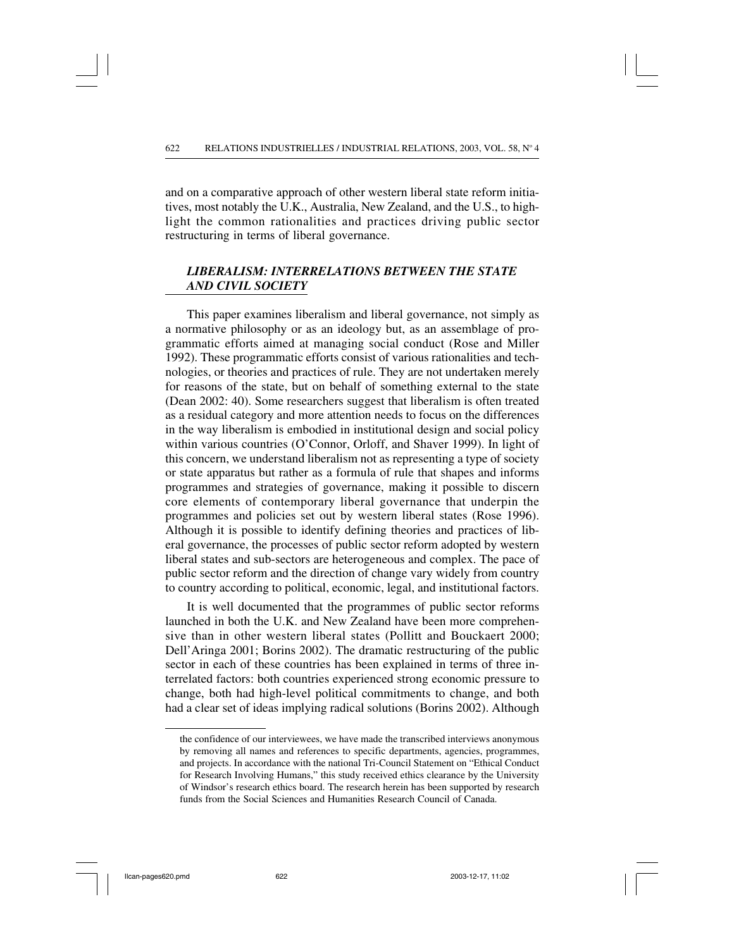and on a comparative approach of other western liberal state reform initiatives, most notably the U.K., Australia, New Zealand, and the U.S., to highlight the common rationalities and practices driving public sector restructuring in terms of liberal governance.

### *LIBERALISM: INTERRELATIONS BETWEEN THE STATE AND CIVIL SOCIETY*

This paper examines liberalism and liberal governance, not simply as a normative philosophy or as an ideology but, as an assemblage of programmatic efforts aimed at managing social conduct (Rose and Miller 1992). These programmatic efforts consist of various rationalities and technologies, or theories and practices of rule. They are not undertaken merely for reasons of the state, but on behalf of something external to the state (Dean 2002: 40). Some researchers suggest that liberalism is often treated as a residual category and more attention needs to focus on the differences in the way liberalism is embodied in institutional design and social policy within various countries (O'Connor, Orloff, and Shaver 1999). In light of this concern, we understand liberalism not as representing a type of society or state apparatus but rather as a formula of rule that shapes and informs programmes and strategies of governance, making it possible to discern core elements of contemporary liberal governance that underpin the programmes and policies set out by western liberal states (Rose 1996). Although it is possible to identify defining theories and practices of liberal governance, the processes of public sector reform adopted by western liberal states and sub-sectors are heterogeneous and complex. The pace of public sector reform and the direction of change vary widely from country to country according to political, economic, legal, and institutional factors.

It is well documented that the programmes of public sector reforms launched in both the U.K. and New Zealand have been more comprehensive than in other western liberal states (Pollitt and Bouckaert 2000; Dell'Aringa 2001; Borins 2002). The dramatic restructuring of the public sector in each of these countries has been explained in terms of three interrelated factors: both countries experienced strong economic pressure to change, both had high-level political commitments to change, and both had a clear set of ideas implying radical solutions (Borins 2002). Although

the confidence of our interviewees, we have made the transcribed interviews anonymous by removing all names and references to specific departments, agencies, programmes, and projects. In accordance with the national Tri-Council Statement on "Ethical Conduct for Research Involving Humans," this study received ethics clearance by the University of Windsor's research ethics board. The research herein has been supported by research funds from the Social Sciences and Humanities Research Council of Canada.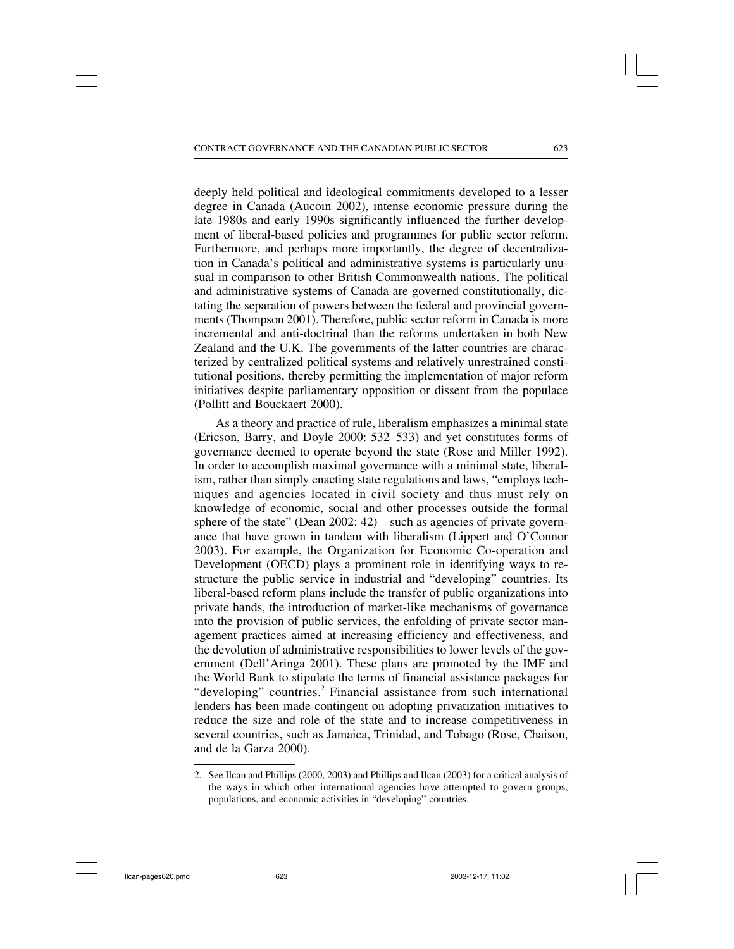deeply held political and ideological commitments developed to a lesser degree in Canada (Aucoin 2002), intense economic pressure during the late 1980s and early 1990s significantly influenced the further development of liberal-based policies and programmes for public sector reform. Furthermore, and perhaps more importantly, the degree of decentralization in Canada's political and administrative systems is particularly unusual in comparison to other British Commonwealth nations. The political and administrative systems of Canada are governed constitutionally, dictating the separation of powers between the federal and provincial governments (Thompson 2001). Therefore, public sector reform in Canada is more incremental and anti-doctrinal than the reforms undertaken in both New Zealand and the U.K. The governments of the latter countries are characterized by centralized political systems and relatively unrestrained constitutional positions, thereby permitting the implementation of major reform initiatives despite parliamentary opposition or dissent from the populace (Pollitt and Bouckaert 2000).

As a theory and practice of rule, liberalism emphasizes a minimal state (Ericson, Barry, and Doyle 2000: 532–533) and yet constitutes forms of governance deemed to operate beyond the state (Rose and Miller 1992). In order to accomplish maximal governance with a minimal state, liberalism, rather than simply enacting state regulations and laws, "employs techniques and agencies located in civil society and thus must rely on knowledge of economic, social and other processes outside the formal sphere of the state" (Dean 2002: 42)—such as agencies of private governance that have grown in tandem with liberalism (Lippert and O'Connor 2003). For example, the Organization for Economic Co-operation and Development (OECD) plays a prominent role in identifying ways to restructure the public service in industrial and "developing" countries. Its liberal-based reform plans include the transfer of public organizations into private hands, the introduction of market-like mechanisms of governance into the provision of public services, the enfolding of private sector management practices aimed at increasing efficiency and effectiveness, and the devolution of administrative responsibilities to lower levels of the government (Dell'Aringa 2001). These plans are promoted by the IMF and the World Bank to stipulate the terms of financial assistance packages for "developing" countries.<sup>2</sup> Financial assistance from such international lenders has been made contingent on adopting privatization initiatives to reduce the size and role of the state and to increase competitiveness in several countries, such as Jamaica, Trinidad, and Tobago (Rose, Chaison, and de la Garza 2000).

<sup>2.</sup> See Ilcan and Phillips (2000, 2003) and Phillips and Ilcan (2003) for a critical analysis of the ways in which other international agencies have attempted to govern groups, populations, and economic activities in "developing" countries.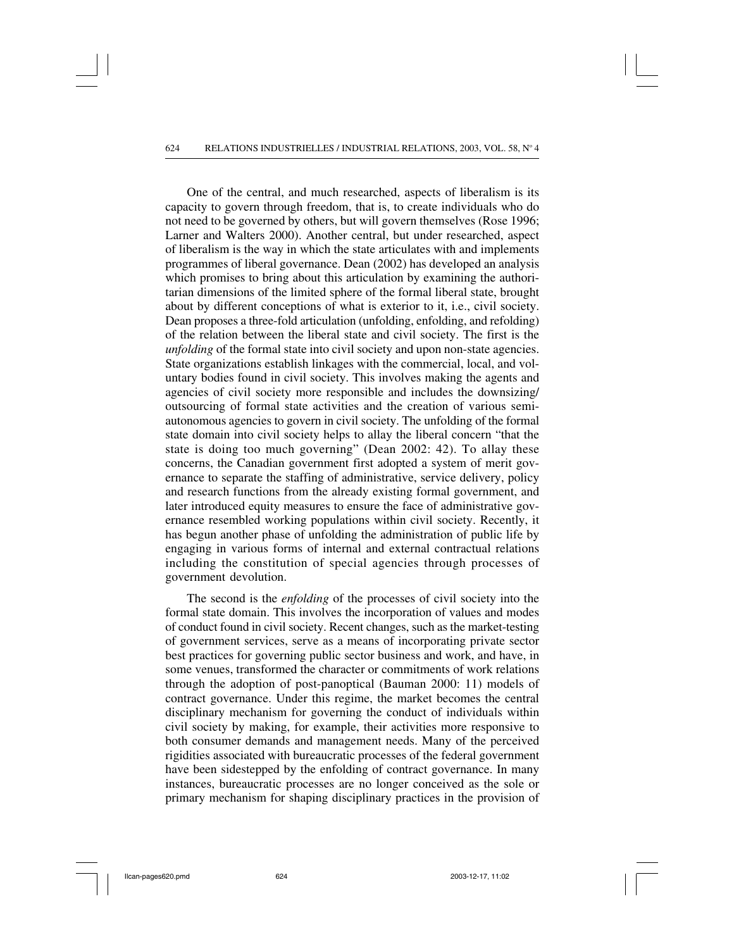One of the central, and much researched, aspects of liberalism is its capacity to govern through freedom, that is, to create individuals who do not need to be governed by others, but will govern themselves (Rose 1996; Larner and Walters 2000). Another central, but under researched, aspect of liberalism is the way in which the state articulates with and implements programmes of liberal governance. Dean (2002) has developed an analysis which promises to bring about this articulation by examining the authoritarian dimensions of the limited sphere of the formal liberal state, brought about by different conceptions of what is exterior to it, i.e., civil society. Dean proposes a three-fold articulation (unfolding, enfolding, and refolding) of the relation between the liberal state and civil society. The first is the *unfolding* of the formal state into civil society and upon non-state agencies. State organizations establish linkages with the commercial, local, and voluntary bodies found in civil society. This involves making the agents and agencies of civil society more responsible and includes the downsizing/ outsourcing of formal state activities and the creation of various semiautonomous agencies to govern in civil society. The unfolding of the formal state domain into civil society helps to allay the liberal concern "that the state is doing too much governing" (Dean 2002: 42). To allay these concerns, the Canadian government first adopted a system of merit governance to separate the staffing of administrative, service delivery, policy and research functions from the already existing formal government, and later introduced equity measures to ensure the face of administrative governance resembled working populations within civil society. Recently, it has begun another phase of unfolding the administration of public life by engaging in various forms of internal and external contractual relations including the constitution of special agencies through processes of government devolution.

The second is the *enfolding* of the processes of civil society into the formal state domain. This involves the incorporation of values and modes of conduct found in civil society. Recent changes, such as the market-testing of government services, serve as a means of incorporating private sector best practices for governing public sector business and work, and have, in some venues, transformed the character or commitments of work relations through the adoption of post-panoptical (Bauman 2000: 11) models of contract governance. Under this regime, the market becomes the central disciplinary mechanism for governing the conduct of individuals within civil society by making, for example, their activities more responsive to both consumer demands and management needs. Many of the perceived rigidities associated with bureaucratic processes of the federal government have been sidestepped by the enfolding of contract governance. In many instances, bureaucratic processes are no longer conceived as the sole or primary mechanism for shaping disciplinary practices in the provision of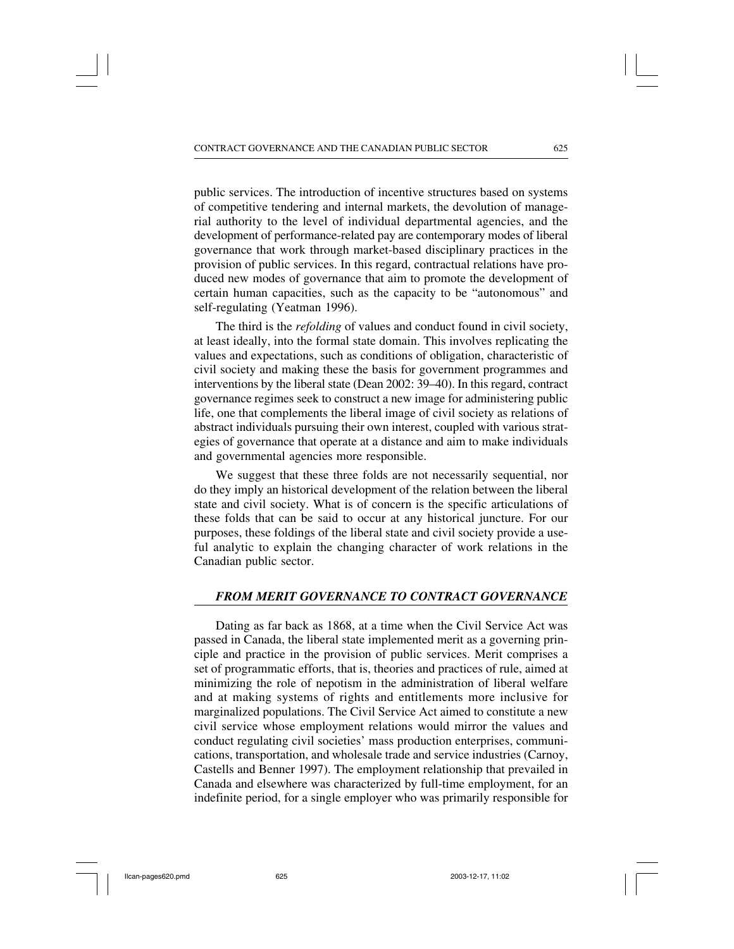public services. The introduction of incentive structures based on systems of competitive tendering and internal markets, the devolution of managerial authority to the level of individual departmental agencies, and the development of performance-related pay are contemporary modes of liberal governance that work through market-based disciplinary practices in the provision of public services. In this regard, contractual relations have produced new modes of governance that aim to promote the development of certain human capacities, such as the capacity to be "autonomous" and self-regulating (Yeatman 1996).

The third is the *refolding* of values and conduct found in civil society, at least ideally, into the formal state domain. This involves replicating the values and expectations, such as conditions of obligation, characteristic of civil society and making these the basis for government programmes and interventions by the liberal state (Dean 2002: 39–40). In this regard, contract governance regimes seek to construct a new image for administering public life, one that complements the liberal image of civil society as relations of abstract individuals pursuing their own interest, coupled with various strategies of governance that operate at a distance and aim to make individuals and governmental agencies more responsible.

We suggest that these three folds are not necessarily sequential, nor do they imply an historical development of the relation between the liberal state and civil society. What is of concern is the specific articulations of these folds that can be said to occur at any historical juncture. For our purposes, these foldings of the liberal state and civil society provide a useful analytic to explain the changing character of work relations in the Canadian public sector.

#### *FROM MERIT GOVERNANCE TO CONTRACT GOVERNANCE*

Dating as far back as 1868, at a time when the Civil Service Act was passed in Canada, the liberal state implemented merit as a governing principle and practice in the provision of public services. Merit comprises a set of programmatic efforts, that is, theories and practices of rule, aimed at minimizing the role of nepotism in the administration of liberal welfare and at making systems of rights and entitlements more inclusive for marginalized populations. The Civil Service Act aimed to constitute a new civil service whose employment relations would mirror the values and conduct regulating civil societies' mass production enterprises, communications, transportation, and wholesale trade and service industries (Carnoy, Castells and Benner 1997). The employment relationship that prevailed in Canada and elsewhere was characterized by full-time employment, for an indefinite period, for a single employer who was primarily responsible for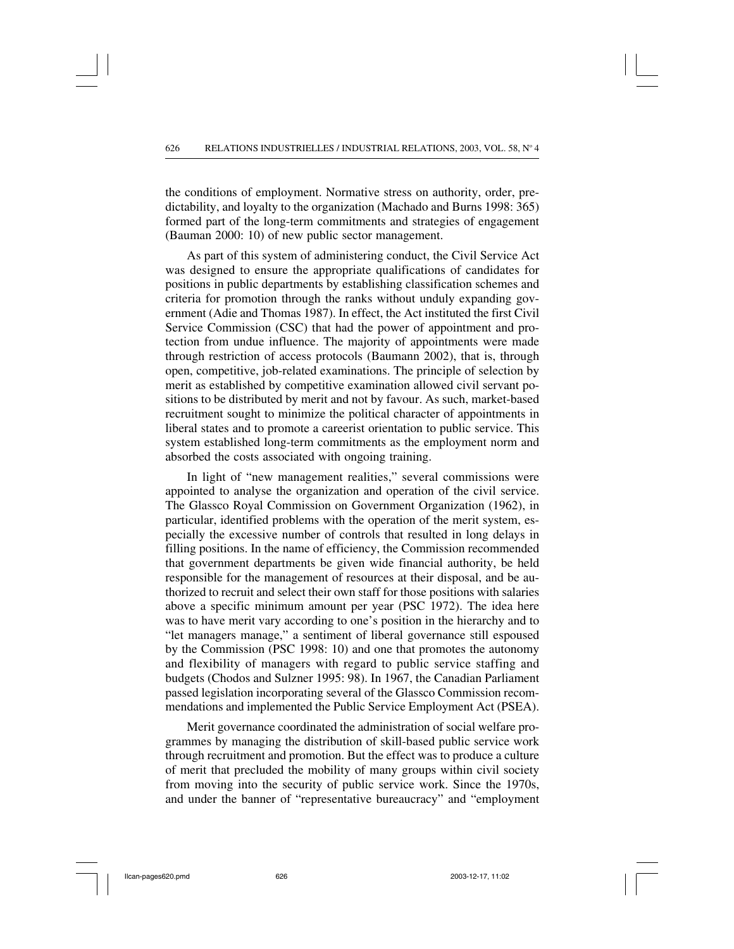the conditions of employment. Normative stress on authority, order, predictability, and loyalty to the organization (Machado and Burns 1998: 365) formed part of the long-term commitments and strategies of engagement (Bauman 2000: 10) of new public sector management.

As part of this system of administering conduct, the Civil Service Act was designed to ensure the appropriate qualifications of candidates for positions in public departments by establishing classification schemes and criteria for promotion through the ranks without unduly expanding government (Adie and Thomas 1987). In effect, the Act instituted the first Civil Service Commission (CSC) that had the power of appointment and protection from undue influence. The majority of appointments were made through restriction of access protocols (Baumann 2002), that is, through open, competitive, job-related examinations. The principle of selection by merit as established by competitive examination allowed civil servant positions to be distributed by merit and not by favour. As such, market-based recruitment sought to minimize the political character of appointments in liberal states and to promote a careerist orientation to public service. This system established long-term commitments as the employment norm and absorbed the costs associated with ongoing training.

In light of "new management realities," several commissions were appointed to analyse the organization and operation of the civil service. The Glassco Royal Commission on Government Organization (1962), in particular, identified problems with the operation of the merit system, especially the excessive number of controls that resulted in long delays in filling positions. In the name of efficiency, the Commission recommended that government departments be given wide financial authority, be held responsible for the management of resources at their disposal, and be authorized to recruit and select their own staff for those positions with salaries above a specific minimum amount per year (PSC 1972). The idea here was to have merit vary according to one's position in the hierarchy and to "let managers manage," a sentiment of liberal governance still espoused by the Commission (PSC 1998: 10) and one that promotes the autonomy and flexibility of managers with regard to public service staffing and budgets (Chodos and Sulzner 1995: 98). In 1967, the Canadian Parliament passed legislation incorporating several of the Glassco Commission recommendations and implemented the Public Service Employment Act (PSEA).

Merit governance coordinated the administration of social welfare programmes by managing the distribution of skill-based public service work through recruitment and promotion. But the effect was to produce a culture of merit that precluded the mobility of many groups within civil society from moving into the security of public service work. Since the 1970s, and under the banner of "representative bureaucracy" and "employment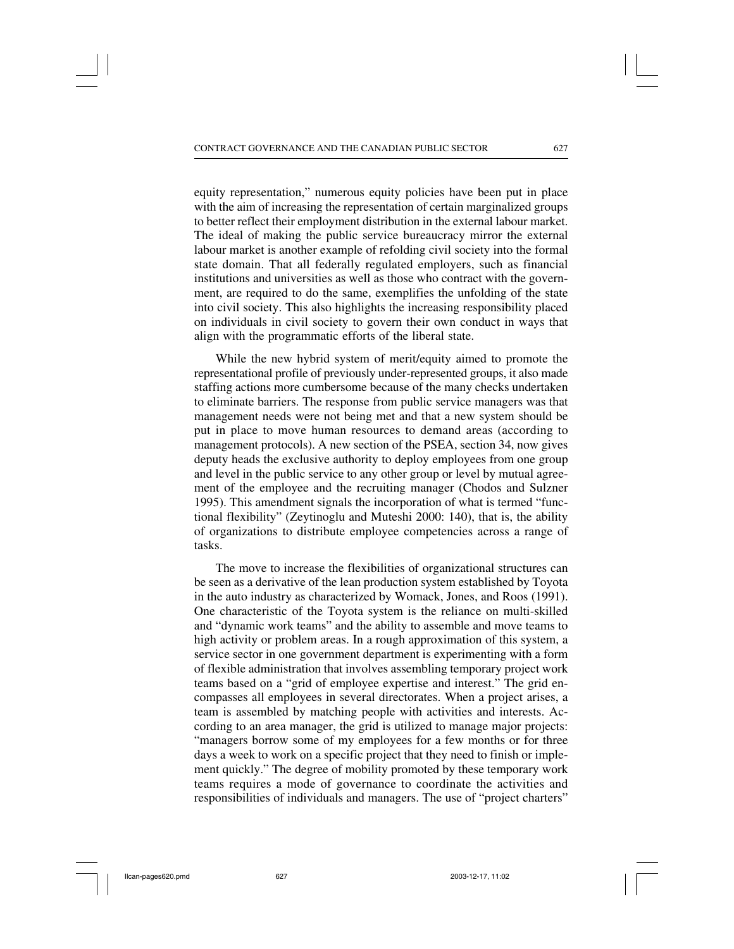equity representation," numerous equity policies have been put in place with the aim of increasing the representation of certain marginalized groups to better reflect their employment distribution in the external labour market. The ideal of making the public service bureaucracy mirror the external labour market is another example of refolding civil society into the formal state domain. That all federally regulated employers, such as financial institutions and universities as well as those who contract with the government, are required to do the same, exemplifies the unfolding of the state into civil society. This also highlights the increasing responsibility placed on individuals in civil society to govern their own conduct in ways that align with the programmatic efforts of the liberal state.

While the new hybrid system of merit/equity aimed to promote the representational profile of previously under-represented groups, it also made staffing actions more cumbersome because of the many checks undertaken to eliminate barriers. The response from public service managers was that management needs were not being met and that a new system should be put in place to move human resources to demand areas (according to management protocols). A new section of the PSEA, section 34, now gives deputy heads the exclusive authority to deploy employees from one group and level in the public service to any other group or level by mutual agreement of the employee and the recruiting manager (Chodos and Sulzner 1995). This amendment signals the incorporation of what is termed "functional flexibility" (Zeytinoglu and Muteshi 2000: 140), that is, the ability of organizations to distribute employee competencies across a range of tasks.

The move to increase the flexibilities of organizational structures can be seen as a derivative of the lean production system established by Toyota in the auto industry as characterized by Womack, Jones, and Roos (1991). One characteristic of the Toyota system is the reliance on multi-skilled and "dynamic work teams" and the ability to assemble and move teams to high activity or problem areas. In a rough approximation of this system, a service sector in one government department is experimenting with a form of flexible administration that involves assembling temporary project work teams based on a "grid of employee expertise and interest." The grid encompasses all employees in several directorates. When a project arises, a team is assembled by matching people with activities and interests. According to an area manager, the grid is utilized to manage major projects: "managers borrow some of my employees for a few months or for three days a week to work on a specific project that they need to finish or implement quickly." The degree of mobility promoted by these temporary work teams requires a mode of governance to coordinate the activities and responsibilities of individuals and managers. The use of "project charters"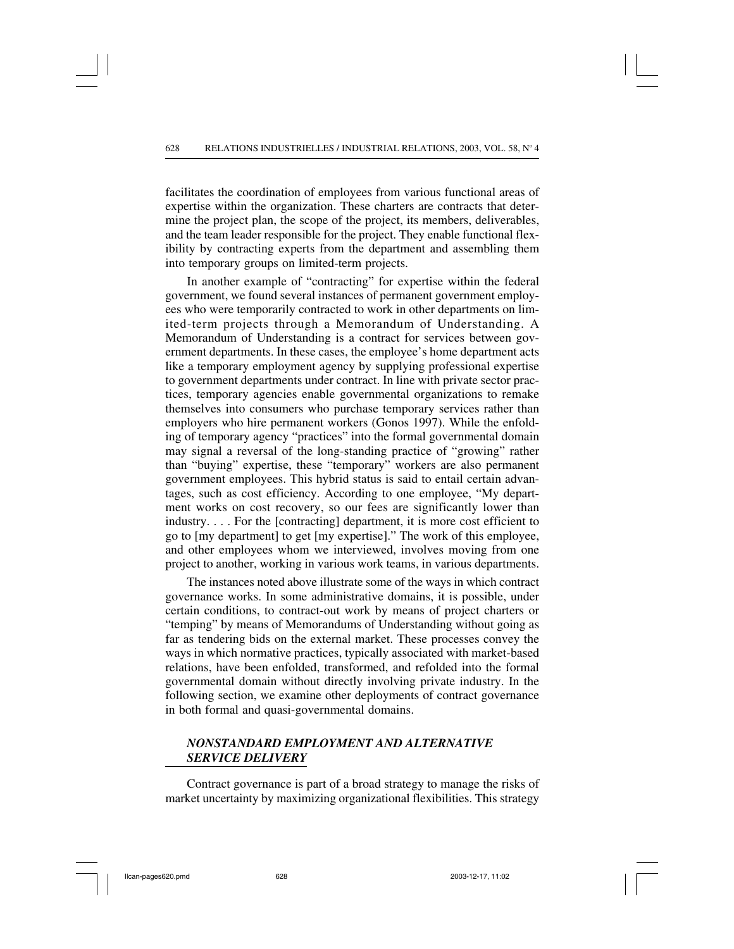facilitates the coordination of employees from various functional areas of expertise within the organization. These charters are contracts that determine the project plan, the scope of the project, its members, deliverables, and the team leader responsible for the project. They enable functional flexibility by contracting experts from the department and assembling them into temporary groups on limited-term projects.

In another example of "contracting" for expertise within the federal government, we found several instances of permanent government employees who were temporarily contracted to work in other departments on limited-term projects through a Memorandum of Understanding. A Memorandum of Understanding is a contract for services between government departments. In these cases, the employee's home department acts like a temporary employment agency by supplying professional expertise to government departments under contract. In line with private sector practices, temporary agencies enable governmental organizations to remake themselves into consumers who purchase temporary services rather than employers who hire permanent workers (Gonos 1997). While the enfolding of temporary agency "practices" into the formal governmental domain may signal a reversal of the long-standing practice of "growing" rather than "buying" expertise, these "temporary" workers are also permanent government employees. This hybrid status is said to entail certain advantages, such as cost efficiency. According to one employee, "My department works on cost recovery, so our fees are significantly lower than industry. . . . For the [contracting] department, it is more cost efficient to go to [my department] to get [my expertise]." The work of this employee, and other employees whom we interviewed, involves moving from one project to another, working in various work teams, in various departments.

The instances noted above illustrate some of the ways in which contract governance works. In some administrative domains, it is possible, under certain conditions, to contract-out work by means of project charters or "temping" by means of Memorandums of Understanding without going as far as tendering bids on the external market. These processes convey the ways in which normative practices, typically associated with market-based relations, have been enfolded, transformed, and refolded into the formal governmental domain without directly involving private industry. In the following section, we examine other deployments of contract governance in both formal and quasi-governmental domains.

## *NONSTANDARD EMPLOYMENT AND ALTERNATIVE SERVICE DELIVERY*

Contract governance is part of a broad strategy to manage the risks of market uncertainty by maximizing organizational flexibilities. This strategy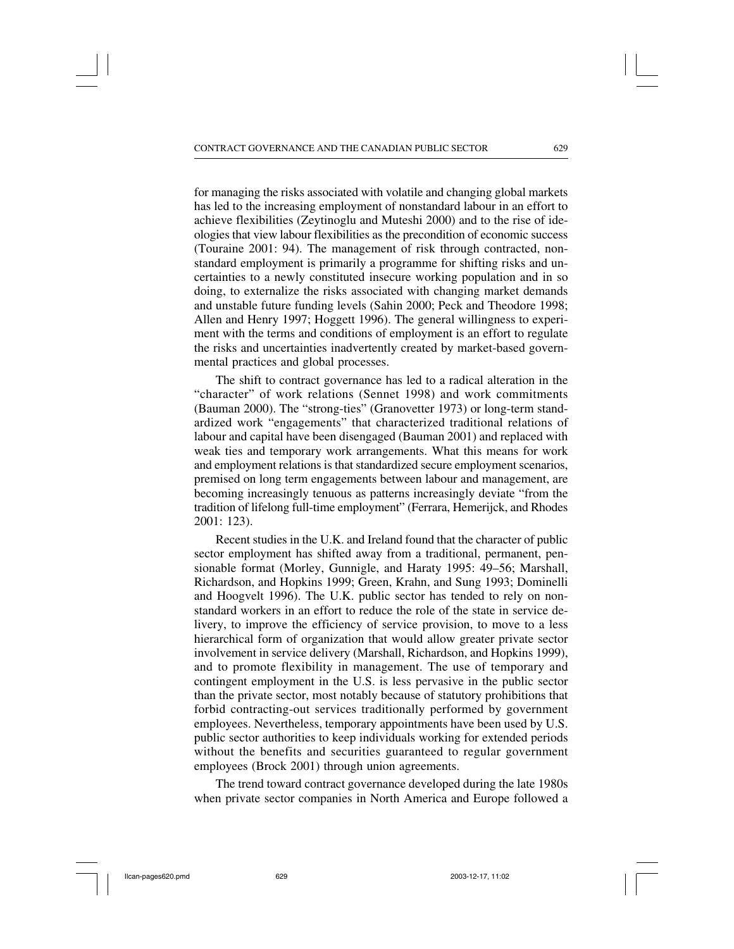for managing the risks associated with volatile and changing global markets has led to the increasing employment of nonstandard labour in an effort to achieve flexibilities (Zeytinoglu and Muteshi 2000) and to the rise of ideologies that view labour flexibilities as the precondition of economic success (Touraine 2001: 94). The management of risk through contracted, nonstandard employment is primarily a programme for shifting risks and uncertainties to a newly constituted insecure working population and in so doing, to externalize the risks associated with changing market demands and unstable future funding levels (Sahin 2000; Peck and Theodore 1998; Allen and Henry 1997; Hoggett 1996). The general willingness to experiment with the terms and conditions of employment is an effort to regulate the risks and uncertainties inadvertently created by market-based governmental practices and global processes.

The shift to contract governance has led to a radical alteration in the "character" of work relations (Sennet 1998) and work commitments (Bauman 2000). The "strong-ties" (Granovetter 1973) or long-term standardized work "engagements" that characterized traditional relations of labour and capital have been disengaged (Bauman 2001) and replaced with weak ties and temporary work arrangements. What this means for work and employment relations is that standardized secure employment scenarios, premised on long term engagements between labour and management, are becoming increasingly tenuous as patterns increasingly deviate "from the tradition of lifelong full-time employment" (Ferrara, Hemerijck, and Rhodes 2001: 123).

Recent studies in the U.K. and Ireland found that the character of public sector employment has shifted away from a traditional, permanent, pensionable format (Morley, Gunnigle, and Haraty 1995: 49–56; Marshall, Richardson, and Hopkins 1999; Green, Krahn, and Sung 1993; Dominelli and Hoogvelt 1996). The U.K. public sector has tended to rely on nonstandard workers in an effort to reduce the role of the state in service delivery, to improve the efficiency of service provision, to move to a less hierarchical form of organization that would allow greater private sector involvement in service delivery (Marshall, Richardson, and Hopkins 1999), and to promote flexibility in management. The use of temporary and contingent employment in the U.S. is less pervasive in the public sector than the private sector, most notably because of statutory prohibitions that forbid contracting-out services traditionally performed by government employees. Nevertheless, temporary appointments have been used by U.S. public sector authorities to keep individuals working for extended periods without the benefits and securities guaranteed to regular government employees (Brock 2001) through union agreements.

The trend toward contract governance developed during the late 1980s when private sector companies in North America and Europe followed a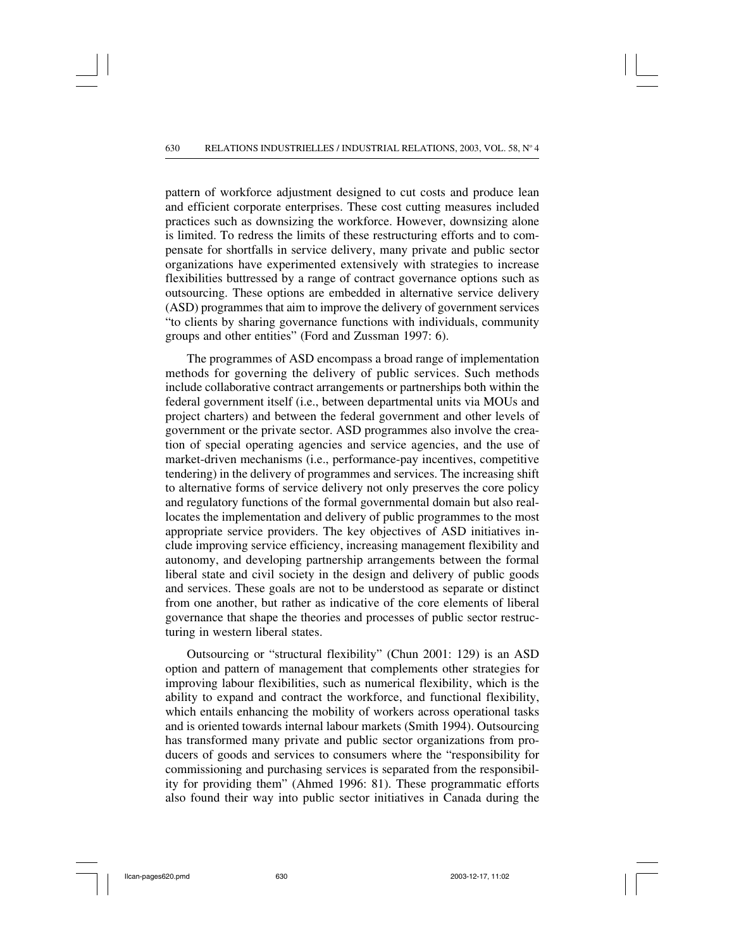pattern of workforce adjustment designed to cut costs and produce lean and efficient corporate enterprises. These cost cutting measures included practices such as downsizing the workforce. However, downsizing alone is limited. To redress the limits of these restructuring efforts and to compensate for shortfalls in service delivery, many private and public sector organizations have experimented extensively with strategies to increase flexibilities buttressed by a range of contract governance options such as outsourcing. These options are embedded in alternative service delivery (ASD) programmes that aim to improve the delivery of government services "to clients by sharing governance functions with individuals, community groups and other entities" (Ford and Zussman 1997: 6).

The programmes of ASD encompass a broad range of implementation methods for governing the delivery of public services. Such methods include collaborative contract arrangements or partnerships both within the federal government itself (i.e., between departmental units via MOUs and project charters) and between the federal government and other levels of government or the private sector. ASD programmes also involve the creation of special operating agencies and service agencies, and the use of market-driven mechanisms (i.e., performance-pay incentives, competitive tendering) in the delivery of programmes and services. The increasing shift to alternative forms of service delivery not only preserves the core policy and regulatory functions of the formal governmental domain but also reallocates the implementation and delivery of public programmes to the most appropriate service providers. The key objectives of ASD initiatives include improving service efficiency, increasing management flexibility and autonomy, and developing partnership arrangements between the formal liberal state and civil society in the design and delivery of public goods and services. These goals are not to be understood as separate or distinct from one another, but rather as indicative of the core elements of liberal governance that shape the theories and processes of public sector restructuring in western liberal states.

Outsourcing or "structural flexibility" (Chun 2001: 129) is an ASD option and pattern of management that complements other strategies for improving labour flexibilities, such as numerical flexibility, which is the ability to expand and contract the workforce, and functional flexibility, which entails enhancing the mobility of workers across operational tasks and is oriented towards internal labour markets (Smith 1994). Outsourcing has transformed many private and public sector organizations from producers of goods and services to consumers where the "responsibility for commissioning and purchasing services is separated from the responsibility for providing them" (Ahmed 1996: 81). These programmatic efforts also found their way into public sector initiatives in Canada during the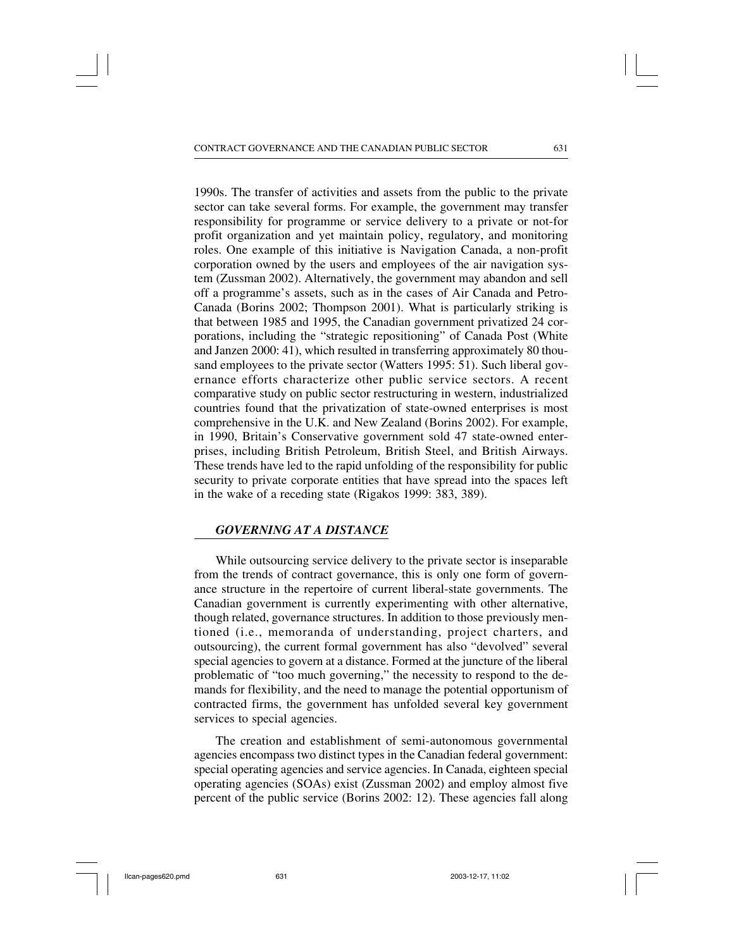1990s. The transfer of activities and assets from the public to the private sector can take several forms. For example, the government may transfer responsibility for programme or service delivery to a private or not-for profit organization and yet maintain policy, regulatory, and monitoring roles. One example of this initiative is Navigation Canada, a non-profit corporation owned by the users and employees of the air navigation system (Zussman 2002). Alternatively, the government may abandon and sell off a programme's assets, such as in the cases of Air Canada and Petro-Canada (Borins 2002; Thompson 2001). What is particularly striking is that between 1985 and 1995, the Canadian government privatized 24 corporations, including the "strategic repositioning" of Canada Post (White and Janzen 2000: 41), which resulted in transferring approximately 80 thousand employees to the private sector (Watters 1995: 51). Such liberal governance efforts characterize other public service sectors. A recent comparative study on public sector restructuring in western, industrialized countries found that the privatization of state-owned enterprises is most comprehensive in the U.K. and New Zealand (Borins 2002). For example, in 1990, Britain's Conservative government sold 47 state-owned enterprises, including British Petroleum, British Steel, and British Airways. These trends have led to the rapid unfolding of the responsibility for public security to private corporate entities that have spread into the spaces left in the wake of a receding state (Rigakos 1999: 383, 389).

#### *GOVERNING AT A DISTANCE*

While outsourcing service delivery to the private sector is inseparable from the trends of contract governance, this is only one form of governance structure in the repertoire of current liberal-state governments. The Canadian government is currently experimenting with other alternative, though related, governance structures. In addition to those previously mentioned (i.e., memoranda of understanding, project charters, and outsourcing), the current formal government has also "devolved" several special agencies to govern at a distance. Formed at the juncture of the liberal problematic of "too much governing," the necessity to respond to the demands for flexibility, and the need to manage the potential opportunism of contracted firms, the government has unfolded several key government services to special agencies.

The creation and establishment of semi-autonomous governmental agencies encompass two distinct types in the Canadian federal government: special operating agencies and service agencies. In Canada, eighteen special operating agencies (SOAs) exist (Zussman 2002) and employ almost five percent of the public service (Borins 2002: 12). These agencies fall along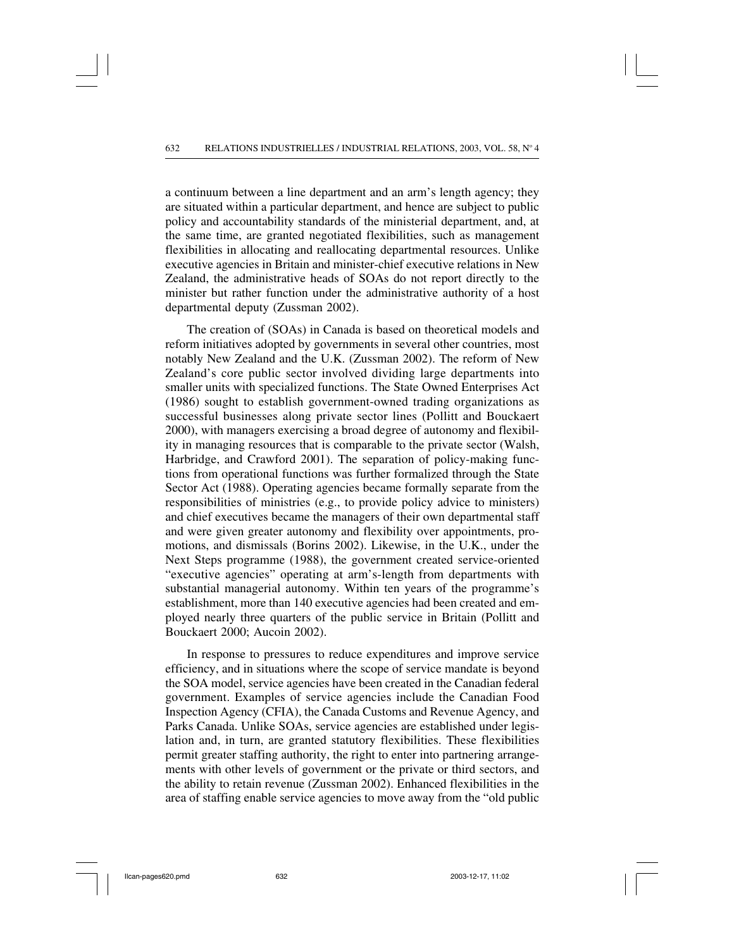a continuum between a line department and an arm's length agency; they are situated within a particular department, and hence are subject to public policy and accountability standards of the ministerial department, and, at the same time, are granted negotiated flexibilities, such as management flexibilities in allocating and reallocating departmental resources. Unlike executive agencies in Britain and minister-chief executive relations in New Zealand, the administrative heads of SOAs do not report directly to the minister but rather function under the administrative authority of a host departmental deputy (Zussman 2002).

The creation of (SOAs) in Canada is based on theoretical models and reform initiatives adopted by governments in several other countries, most notably New Zealand and the U.K. (Zussman 2002). The reform of New Zealand's core public sector involved dividing large departments into smaller units with specialized functions. The State Owned Enterprises Act (1986) sought to establish government-owned trading organizations as successful businesses along private sector lines (Pollitt and Bouckaert 2000), with managers exercising a broad degree of autonomy and flexibility in managing resources that is comparable to the private sector (Walsh, Harbridge, and Crawford 2001). The separation of policy-making functions from operational functions was further formalized through the State Sector Act (1988). Operating agencies became formally separate from the responsibilities of ministries (e.g., to provide policy advice to ministers) and chief executives became the managers of their own departmental staff and were given greater autonomy and flexibility over appointments, promotions, and dismissals (Borins 2002). Likewise, in the U.K., under the Next Steps programme (1988), the government created service-oriented "executive agencies" operating at arm's-length from departments with substantial managerial autonomy. Within ten years of the programme's establishment, more than 140 executive agencies had been created and employed nearly three quarters of the public service in Britain (Pollitt and Bouckaert 2000; Aucoin 2002).

In response to pressures to reduce expenditures and improve service efficiency, and in situations where the scope of service mandate is beyond the SOA model, service agencies have been created in the Canadian federal government. Examples of service agencies include the Canadian Food Inspection Agency (CFIA), the Canada Customs and Revenue Agency, and Parks Canada. Unlike SOAs, service agencies are established under legislation and, in turn, are granted statutory flexibilities. These flexibilities permit greater staffing authority, the right to enter into partnering arrangements with other levels of government or the private or third sectors, and the ability to retain revenue (Zussman 2002). Enhanced flexibilities in the area of staffing enable service agencies to move away from the "old public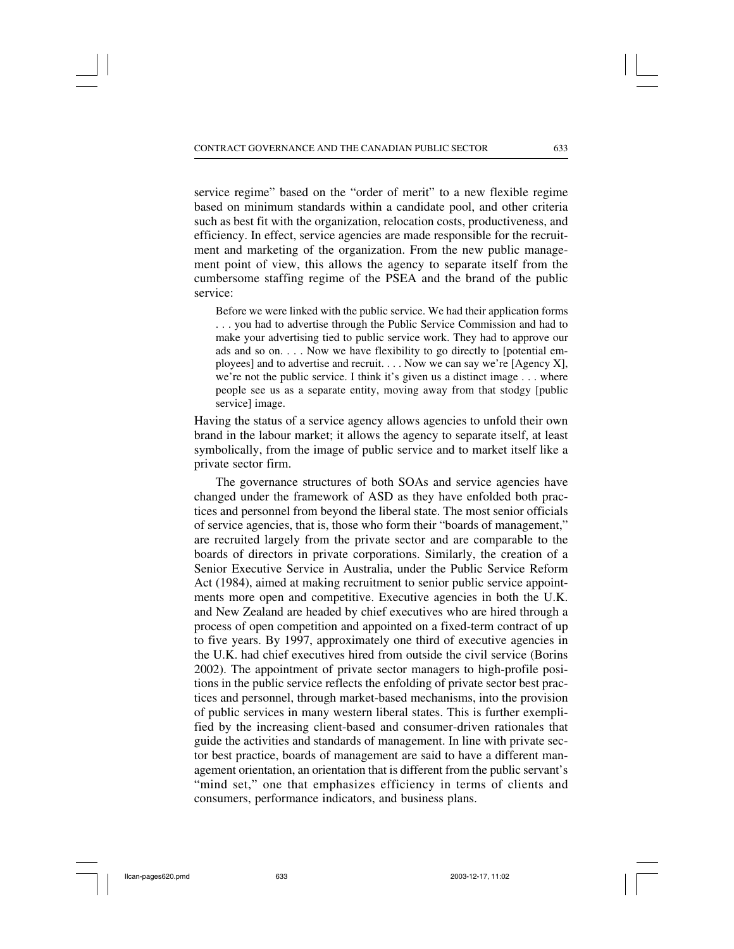service regime" based on the "order of merit" to a new flexible regime based on minimum standards within a candidate pool, and other criteria such as best fit with the organization, relocation costs, productiveness, and efficiency. In effect, service agencies are made responsible for the recruitment and marketing of the organization. From the new public management point of view, this allows the agency to separate itself from the cumbersome staffing regime of the PSEA and the brand of the public service:

Before we were linked with the public service. We had their application forms . . . you had to advertise through the Public Service Commission and had to make your advertising tied to public service work. They had to approve our ads and so on. . . . Now we have flexibility to go directly to [potential employees] and to advertise and recruit. . . . Now we can say we're [Agency X], we're not the public service. I think it's given us a distinct image . . . where people see us as a separate entity, moving away from that stodgy [public service] image.

Having the status of a service agency allows agencies to unfold their own brand in the labour market; it allows the agency to separate itself, at least symbolically, from the image of public service and to market itself like a private sector firm.

The governance structures of both SOAs and service agencies have changed under the framework of ASD as they have enfolded both practices and personnel from beyond the liberal state. The most senior officials of service agencies, that is, those who form their "boards of management," are recruited largely from the private sector and are comparable to the boards of directors in private corporations. Similarly, the creation of a Senior Executive Service in Australia, under the Public Service Reform Act (1984), aimed at making recruitment to senior public service appointments more open and competitive. Executive agencies in both the U.K. and New Zealand are headed by chief executives who are hired through a process of open competition and appointed on a fixed-term contract of up to five years. By 1997, approximately one third of executive agencies in the U.K. had chief executives hired from outside the civil service (Borins 2002). The appointment of private sector managers to high-profile positions in the public service reflects the enfolding of private sector best practices and personnel, through market-based mechanisms, into the provision of public services in many western liberal states. This is further exemplified by the increasing client-based and consumer-driven rationales that guide the activities and standards of management. In line with private sector best practice, boards of management are said to have a different management orientation, an orientation that is different from the public servant's "mind set," one that emphasizes efficiency in terms of clients and consumers, performance indicators, and business plans.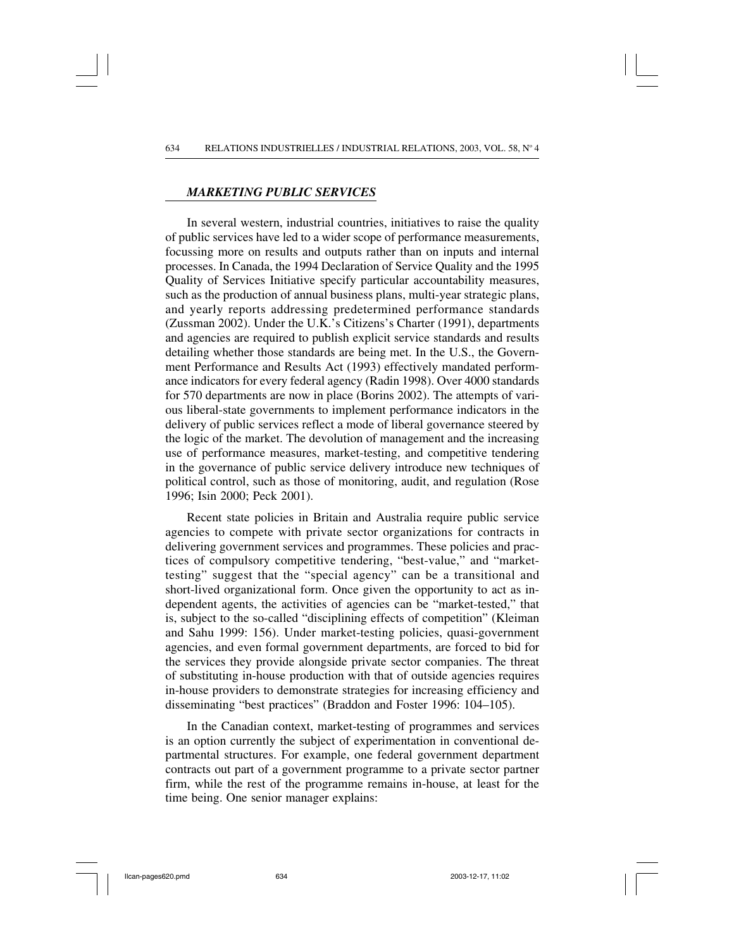#### *MARKETING PUBLIC SERVICES*

In several western, industrial countries, initiatives to raise the quality of public services have led to a wider scope of performance measurements, focussing more on results and outputs rather than on inputs and internal processes. In Canada, the 1994 Declaration of Service Quality and the 1995 Quality of Services Initiative specify particular accountability measures, such as the production of annual business plans, multi-year strategic plans, and yearly reports addressing predetermined performance standards (Zussman 2002). Under the U.K.'s Citizens's Charter (1991), departments and agencies are required to publish explicit service standards and results detailing whether those standards are being met. In the U.S., the Government Performance and Results Act (1993) effectively mandated performance indicators for every federal agency (Radin 1998). Over 4000 standards for 570 departments are now in place (Borins 2002). The attempts of various liberal-state governments to implement performance indicators in the delivery of public services reflect a mode of liberal governance steered by the logic of the market. The devolution of management and the increasing use of performance measures, market-testing, and competitive tendering in the governance of public service delivery introduce new techniques of political control, such as those of monitoring, audit, and regulation (Rose 1996; Isin 2000; Peck 2001).

Recent state policies in Britain and Australia require public service agencies to compete with private sector organizations for contracts in delivering government services and programmes. These policies and practices of compulsory competitive tendering, "best-value," and "markettesting" suggest that the "special agency" can be a transitional and short-lived organizational form. Once given the opportunity to act as independent agents, the activities of agencies can be "market-tested," that is, subject to the so-called "disciplining effects of competition" (Kleiman and Sahu 1999: 156). Under market-testing policies, quasi-government agencies, and even formal government departments, are forced to bid for the services they provide alongside private sector companies. The threat of substituting in-house production with that of outside agencies requires in-house providers to demonstrate strategies for increasing efficiency and disseminating "best practices" (Braddon and Foster 1996: 104–105).

In the Canadian context, market-testing of programmes and services is an option currently the subject of experimentation in conventional departmental structures. For example, one federal government department contracts out part of a government programme to a private sector partner firm, while the rest of the programme remains in-house, at least for the time being. One senior manager explains: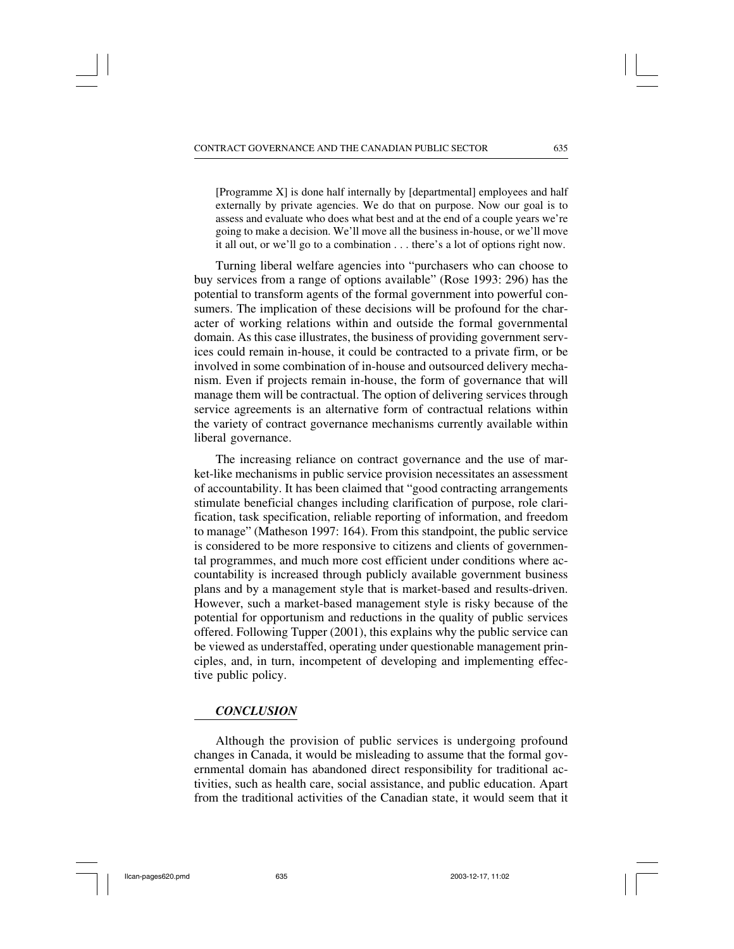[Programme X] is done half internally by [departmental] employees and half externally by private agencies. We do that on purpose. Now our goal is to assess and evaluate who does what best and at the end of a couple years we're going to make a decision. We'll move all the business in-house, or we'll move it all out, or we'll go to a combination . . . there's a lot of options right now.

Turning liberal welfare agencies into "purchasers who can choose to buy services from a range of options available" (Rose 1993: 296) has the potential to transform agents of the formal government into powerful consumers. The implication of these decisions will be profound for the character of working relations within and outside the formal governmental domain. As this case illustrates, the business of providing government services could remain in-house, it could be contracted to a private firm, or be involved in some combination of in-house and outsourced delivery mechanism. Even if projects remain in-house, the form of governance that will manage them will be contractual. The option of delivering services through service agreements is an alternative form of contractual relations within the variety of contract governance mechanisms currently available within liberal governance.

The increasing reliance on contract governance and the use of market-like mechanisms in public service provision necessitates an assessment of accountability. It has been claimed that "good contracting arrangements stimulate beneficial changes including clarification of purpose, role clarification, task specification, reliable reporting of information, and freedom to manage" (Matheson 1997: 164). From this standpoint, the public service is considered to be more responsive to citizens and clients of governmental programmes, and much more cost efficient under conditions where accountability is increased through publicly available government business plans and by a management style that is market-based and results-driven. However, such a market-based management style is risky because of the potential for opportunism and reductions in the quality of public services offered. Following Tupper (2001), this explains why the public service can be viewed as understaffed, operating under questionable management principles, and, in turn, incompetent of developing and implementing effective public policy.

#### *CONCLUSION*

Although the provision of public services is undergoing profound changes in Canada, it would be misleading to assume that the formal governmental domain has abandoned direct responsibility for traditional activities, such as health care, social assistance, and public education. Apart from the traditional activities of the Canadian state, it would seem that it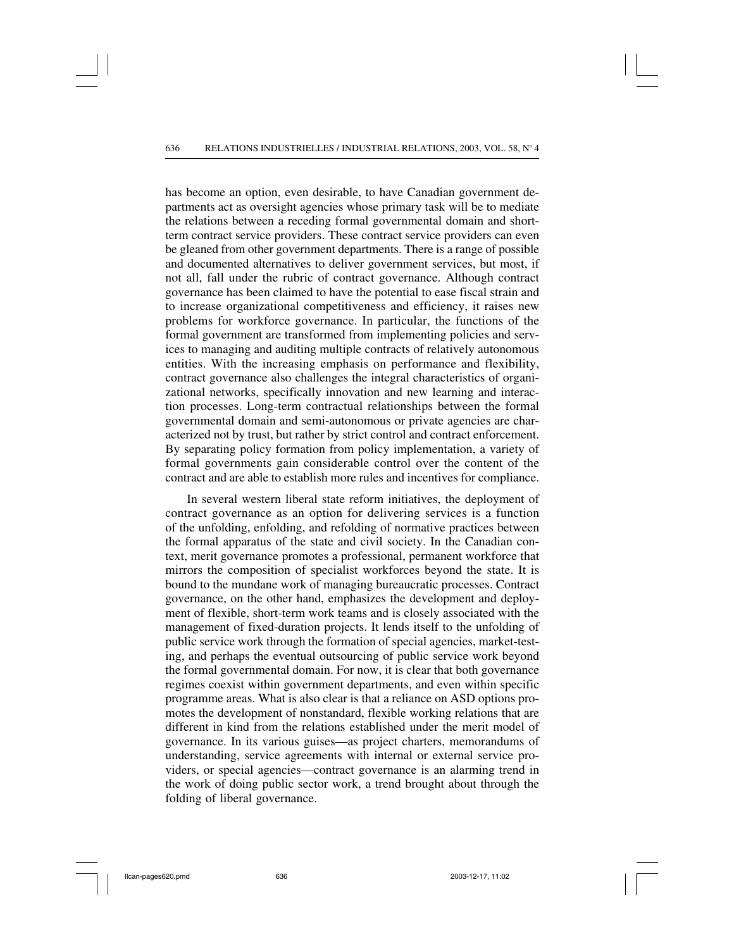has become an option, even desirable, to have Canadian government departments act as oversight agencies whose primary task will be to mediate the relations between a receding formal governmental domain and shortterm contract service providers. These contract service providers can even be gleaned from other government departments. There is a range of possible and documented alternatives to deliver government services, but most, if not all, fall under the rubric of contract governance. Although contract governance has been claimed to have the potential to ease fiscal strain and to increase organizational competitiveness and efficiency, it raises new problems for workforce governance. In particular, the functions of the formal government are transformed from implementing policies and services to managing and auditing multiple contracts of relatively autonomous entities. With the increasing emphasis on performance and flexibility, contract governance also challenges the integral characteristics of organizational networks, specifically innovation and new learning and interaction processes. Long-term contractual relationships between the formal governmental domain and semi-autonomous or private agencies are characterized not by trust, but rather by strict control and contract enforcement. By separating policy formation from policy implementation, a variety of formal governments gain considerable control over the content of the contract and are able to establish more rules and incentives for compliance.

In several western liberal state reform initiatives, the deployment of contract governance as an option for delivering services is a function of the unfolding, enfolding, and refolding of normative practices between the formal apparatus of the state and civil society. In the Canadian context, merit governance promotes a professional, permanent workforce that mirrors the composition of specialist workforces beyond the state. It is bound to the mundane work of managing bureaucratic processes. Contract governance, on the other hand, emphasizes the development and deployment of flexible, short-term work teams and is closely associated with the management of fixed-duration projects. It lends itself to the unfolding of public service work through the formation of special agencies, market-testing, and perhaps the eventual outsourcing of public service work beyond the formal governmental domain. For now, it is clear that both governance regimes coexist within government departments, and even within specific programme areas. What is also clear is that a reliance on ASD options promotes the development of nonstandard, flexible working relations that are different in kind from the relations established under the merit model of governance. In its various guises—as project charters, memorandums of understanding, service agreements with internal or external service providers, or special agencies—contract governance is an alarming trend in the work of doing public sector work, a trend brought about through the folding of liberal governance.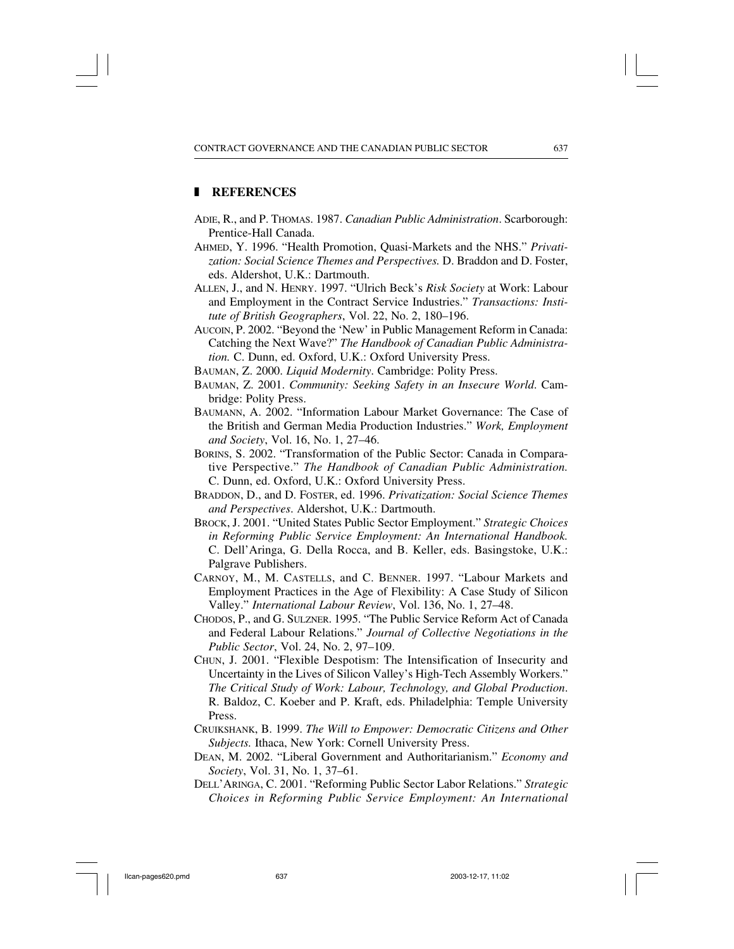#### ❚ **REFERENCES**

- ADIE, R., and P. THOMAS. 1987. *Canadian Public Administration*. Scarborough: Prentice-Hall Canada.
- AHMED, Y. 1996. "Health Promotion, Quasi-Markets and the NHS." *Privatization: Social Science Themes and Perspectives.* D. Braddon and D. Foster, eds. Aldershot, U.K.: Dartmouth.
- ALLEN, J., and N. HENRY. 1997. "Ulrich Beck's *Risk Society* at Work: Labour and Employment in the Contract Service Industries." *Transactions: Institute of British Geographers*, Vol. 22, No. 2, 180–196.
- AUCOIN, P. 2002. "Beyond the 'New' in Public Management Reform in Canada: Catching the Next Wave?" *The Handbook of Canadian Public Administration.* C. Dunn, ed. Oxford, U.K.: Oxford University Press.
- BAUMAN, Z. 2000. *Liquid Modernity*. Cambridge: Polity Press.
- BAUMAN, Z. 2001. *Community: Seeking Safety in an Insecure World*. Cambridge: Polity Press.
- BAUMANN, A. 2002. "Information Labour Market Governance: The Case of the British and German Media Production Industries." *Work, Employment and Society*, Vol. 16, No. 1, 27–46.
- BORINS, S. 2002. "Transformation of the Public Sector: Canada in Comparative Perspective." *The Handbook of Canadian Public Administration.* C. Dunn, ed. Oxford, U.K.: Oxford University Press.
- BRADDON, D., and D. FOSTER, ed. 1996. *Privatization: Social Science Themes and Perspectives*. Aldershot, U.K.: Dartmouth.
- BROCK, J. 2001. "United States Public Sector Employment." *Strategic Choices in Reforming Public Service Employment: An International Handbook.* C. Dell'Aringa, G. Della Rocca, and B. Keller, eds. Basingstoke, U.K.: Palgrave Publishers.
- CARNOY, M., M. CASTELLS, and C. BENNER. 1997. "Labour Markets and Employment Practices in the Age of Flexibility: A Case Study of Silicon Valley." *International Labour Review*, Vol. 136, No. 1, 27–48.
- CHODOS, P., and G. SULZNER. 1995. "The Public Service Reform Act of Canada and Federal Labour Relations." *Journal of Collective Negotiations in the Public Sector*, Vol. 24, No. 2, 97–109.
- CHUN, J. 2001. "Flexible Despotism: The Intensification of Insecurity and Uncertainty in the Lives of Silicon Valley's High-Tech Assembly Workers." *The Critical Study of Work: Labour, Technology, and Global Production*. R. Baldoz, C. Koeber and P. Kraft, eds. Philadelphia: Temple University Press.
- CRUIKSHANK, B. 1999. *The Will to Empower: Democratic Citizens and Other Subjects.* Ithaca, New York: Cornell University Press.
- DEAN, M. 2002. "Liberal Government and Authoritarianism." *Economy and Society*, Vol. 31, No. 1, 37–61.
- DELL'ARINGA, C. 2001. "Reforming Public Sector Labor Relations." *Strategic Choices in Reforming Public Service Employment: An International*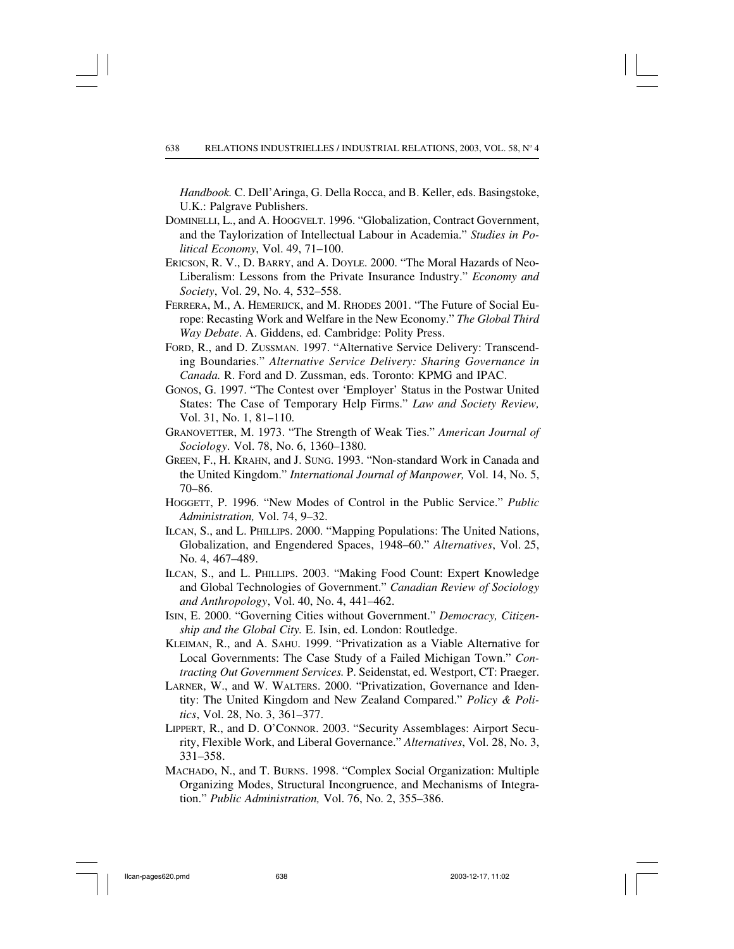*Handbook.* C. Dell'Aringa, G. Della Rocca, and B. Keller, eds. Basingstoke, U.K.: Palgrave Publishers.

- DOMINELLI, L., and A. HOOGVELT. 1996. "Globalization, Contract Government, and the Taylorization of Intellectual Labour in Academia." *Studies in Political Economy*, Vol. 49, 71–100.
- ERICSON, R. V., D. BARRY, and A. DOYLE. 2000. "The Moral Hazards of Neo-Liberalism: Lessons from the Private Insurance Industry." *Economy and Society*, Vol. 29, No. 4, 532–558.
- FERRERA, M., A. HEMERIJCK, and M. RHODES 2001. "The Future of Social Europe: Recasting Work and Welfare in the New Economy." *The Global Third Way Debate*. A. Giddens, ed. Cambridge: Polity Press.
- FORD, R., and D. ZUSSMAN. 1997. "Alternative Service Delivery: Transcending Boundaries." *Alternative Service Delivery: Sharing Governance in Canada.* R. Ford and D. Zussman, eds. Toronto: KPMG and IPAC.
- GONOS, G. 1997. "The Contest over 'Employer' Status in the Postwar United States: The Case of Temporary Help Firms." *Law and Society Review,* Vol. 31, No. 1, 81–110.
- GRANOVETTER, M. 1973. "The Strength of Weak Ties." *American Journal of Sociology*. Vol. 78, No. 6, 1360–1380.
- GREEN, F., H. KRAHN, and J. SUNG. 1993. "Non-standard Work in Canada and the United Kingdom." *International Journal of Manpower,* Vol. 14, No. 5, 70–86.
- HOGGETT, P. 1996. "New Modes of Control in the Public Service." *Public Administration,* Vol. 74, 9–32.
- ILCAN, S., and L. PHILLIPS. 2000. "Mapping Populations: The United Nations, Globalization, and Engendered Spaces, 1948–60." *Alternatives*, Vol. 25, No. 4, 467–489.
- ILCAN, S., and L. PHILLIPS. 2003. "Making Food Count: Expert Knowledge and Global Technologies of Government." *Canadian Review of Sociology and Anthropology*, Vol. 40, No. 4, 441–462.
- ISIN, E. 2000. "Governing Cities without Government." *Democracy, Citizenship and the Global City.* E. Isin, ed. London: Routledge.
- KLEIMAN, R., and A. SAHU. 1999. "Privatization as a Viable Alternative for Local Governments: The Case Study of a Failed Michigan Town." *Contracting Out Government Services.* P. Seidenstat, ed. Westport, CT: Praeger.
- LARNER, W., and W. WALTERS. 2000. "Privatization, Governance and Identity: The United Kingdom and New Zealand Compared." *Policy & Politics*, Vol. 28, No. 3, 361–377.
- LIPPERT, R., and D. O'CONNOR. 2003. "Security Assemblages: Airport Security, Flexible Work, and Liberal Governance." *Alternatives*, Vol. 28, No. 3, 331–358.
- MACHADO, N., and T. BURNS. 1998. "Complex Social Organization: Multiple Organizing Modes, Structural Incongruence, and Mechanisms of Integration." *Public Administration,* Vol. 76, No. 2, 355–386.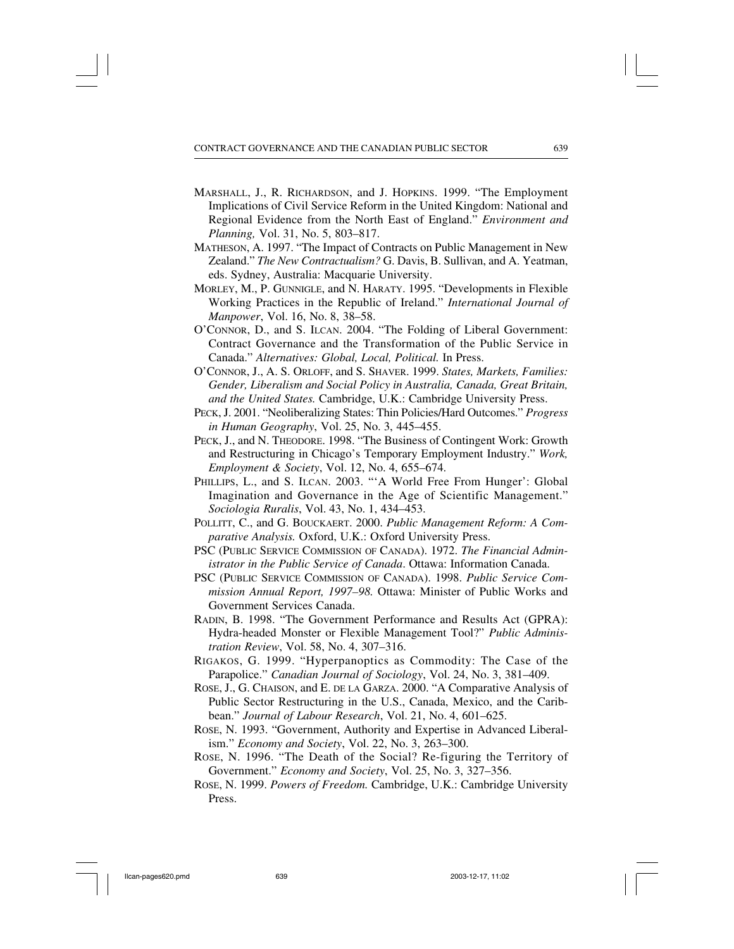- MARSHALL, J., R. RICHARDSON, and J. HOPKINS. 1999. "The Employment Implications of Civil Service Reform in the United Kingdom: National and Regional Evidence from the North East of England." *Environment and Planning,* Vol. 31, No. 5, 803–817.
- MATHESON, A. 1997. "The Impact of Contracts on Public Management in New Zealand." *The New Contractualism?* G. Davis, B. Sullivan, and A. Yeatman, eds. Sydney, Australia: Macquarie University.
- MORLEY, M., P. GUNNIGLE, and N. HARATY. 1995. "Developments in Flexible Working Practices in the Republic of Ireland." *International Journal of Manpower*, Vol. 16, No. 8, 38–58.
- O'CONNOR, D., and S. ILCAN. 2004. "The Folding of Liberal Government: Contract Governance and the Transformation of the Public Service in Canada." *Alternatives: Global, Local, Political.* In Press.
- O'CONNOR, J., A. S. ORLOFF, and S. SHAVER. 1999. *States, Markets, Families: Gender, Liberalism and Social Policy in Australia, Canada, Great Britain, and the United States.* Cambridge, U.K.: Cambridge University Press.
- PECK, J. 2001. "Neoliberalizing States: Thin Policies/Hard Outcomes." *Progress in Human Geography*, Vol. 25, No. 3, 445–455.
- PECK, J., and N. THEODORE. 1998. "The Business of Contingent Work: Growth and Restructuring in Chicago's Temporary Employment Industry." *Work, Employment & Society*, Vol. 12, No. 4, 655–674.
- PHILLIPS, L., and S. ILCAN. 2003. "'A World Free From Hunger': Global Imagination and Governance in the Age of Scientific Management." *Sociologia Ruralis*, Vol. 43, No. 1, 434–453.
- POLLITT, C., and G. BOUCKAERT. 2000. *Public Management Reform: A Comparative Analysis.* Oxford, U.K.: Oxford University Press.
- PSC (PUBLIC SERVICE COMMISSION OF CANADA). 1972. *The Financial Administrator in the Public Service of Canada*. Ottawa: Information Canada.
- PSC (PUBLIC SERVICE COMMISSION OF CANADA). 1998. *Public Service Commission Annual Report, 1997–98.* Ottawa: Minister of Public Works and Government Services Canada.
- RADIN, B. 1998. "The Government Performance and Results Act (GPRA): Hydra-headed Monster or Flexible Management Tool?" *Public Administration Review*, Vol. 58, No. 4, 307–316.
- RIGAKOS, G. 1999. "Hyperpanoptics as Commodity: The Case of the Parapolice." *Canadian Journal of Sociology*, Vol. 24, No. 3, 381–409.
- ROSE, J., G. CHAISON, and E. DE LA GARZA. 2000. "A Comparative Analysis of Public Sector Restructuring in the U.S., Canada, Mexico, and the Caribbean." *Journal of Labour Research*, Vol. 21, No. 4, 601–625.
- ROSE, N. 1993. "Government, Authority and Expertise in Advanced Liberalism." *Economy and Society*, Vol. 22, No. 3, 263–300.
- ROSE, N. 1996. "The Death of the Social? Re-figuring the Territory of Government." *Economy and Society*, Vol. 25, No. 3, 327–356.
- ROSE, N. 1999. *Powers of Freedom.* Cambridge, U.K.: Cambridge University Press.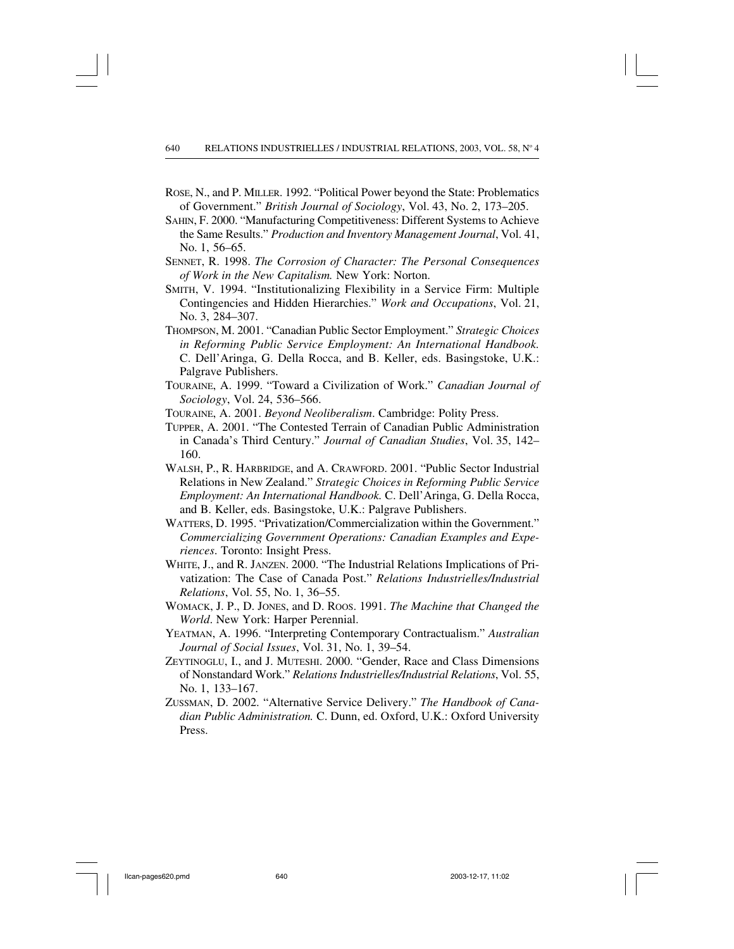- ROSE, N., and P. MILLER. 1992. "Political Power beyond the State: Problematics of Government." *British Journal of Sociology*, Vol. 43, No. 2, 173–205.
- SAHIN, F. 2000. "Manufacturing Competitiveness: Different Systems to Achieve the Same Results." *Production and Inventory Management Journal*, Vol. 41, No. 1, 56–65.
- SENNET, R. 1998. *The Corrosion of Character: The Personal Consequences of Work in the New Capitalism.* New York: Norton.
- SMITH, V. 1994. "Institutionalizing Flexibility in a Service Firm: Multiple Contingencies and Hidden Hierarchies." *Work and Occupations*, Vol. 21, No. 3, 284–307.
- THOMPSON, M. 2001. "Canadian Public Sector Employment." *Strategic Choices in Reforming Public Service Employment: An International Handbook.* C. Dell'Aringa, G. Della Rocca, and B. Keller, eds. Basingstoke, U.K.: Palgrave Publishers.
- TOURAINE, A. 1999. "Toward a Civilization of Work." *Canadian Journal of Sociology*, Vol. 24, 536–566.
- TOURAINE, A. 2001. *Beyond Neoliberalism*. Cambridge: Polity Press.
- TUPPER, A. 2001. "The Contested Terrain of Canadian Public Administration in Canada's Third Century." *Journal of Canadian Studies*, Vol. 35, 142– 160.
- WALSH, P., R. HARBRIDGE, and A. CRAWFORD. 2001. "Public Sector Industrial Relations in New Zealand." *Strategic Choices in Reforming Public Service Employment: An International Handbook.* C. Dell'Aringa, G. Della Rocca, and B. Keller, eds. Basingstoke, U.K.: Palgrave Publishers.
- WATTERS, D. 1995. "Privatization/Commercialization within the Government." *Commercializing Government Operations: Canadian Examples and Experiences*. Toronto: Insight Press.
- WHITE, J., and R. JANZEN. 2000. "The Industrial Relations Implications of Privatization: The Case of Canada Post." *Relations Industrielles/Industrial Relations*, Vol. 55, No. 1, 36–55.
- WOMACK, J. P., D. JONES, and D. ROOS. 1991. *The Machine that Changed the World*. New York: Harper Perennial.
- YEATMAN, A. 1996. "Interpreting Contemporary Contractualism." *Australian Journal of Social Issues*, Vol. 31, No. 1, 39–54.
- ZEYTINOGLU, I., and J. MUTESHI. 2000. "Gender, Race and Class Dimensions of Nonstandard Work." *Relations Industrielles/Industrial Relations*, Vol. 55, No. 1, 133–167.
- ZUSSMAN, D. 2002. "Alternative Service Delivery." *The Handbook of Canadian Public Administration.* C. Dunn, ed. Oxford, U.K.: Oxford University Press.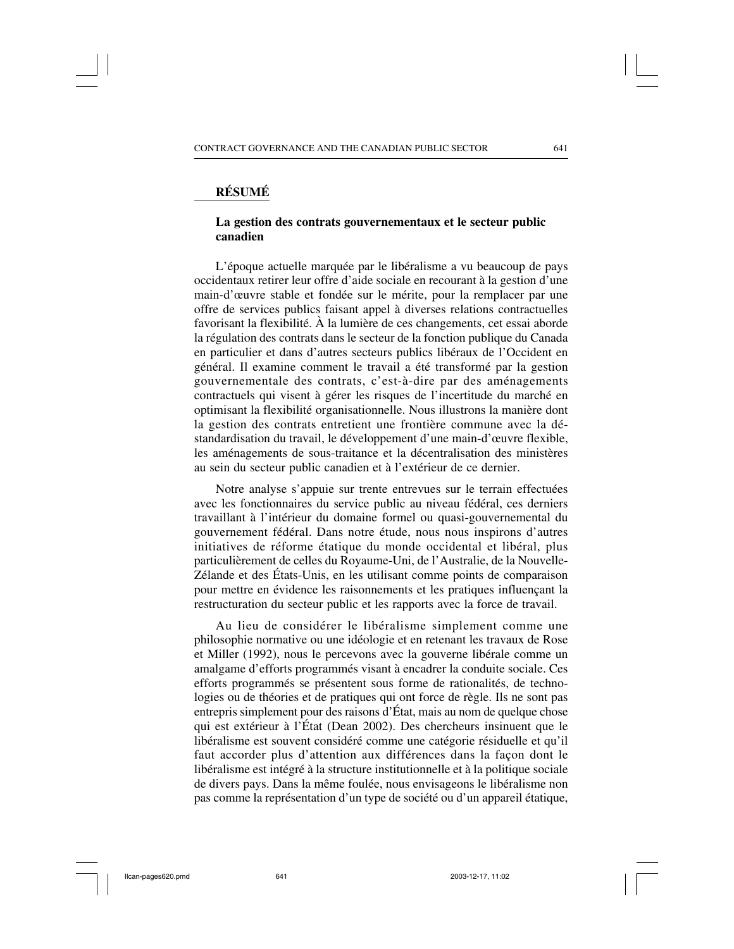## **RÉSUMÉ**

#### **La gestion des contrats gouvernementaux et le secteur public canadien**

L'époque actuelle marquée par le libéralisme a vu beaucoup de pays occidentaux retirer leur offre d'aide sociale en recourant à la gestion d'une main-d'œuvre stable et fondée sur le mérite, pour la remplacer par une offre de services publics faisant appel à diverses relations contractuelles favorisant la flexibilité. À la lumière de ces changements, cet essai aborde la régulation des contrats dans le secteur de la fonction publique du Canada en particulier et dans d'autres secteurs publics libéraux de l'Occident en général. Il examine comment le travail a été transformé par la gestion gouvernementale des contrats, c'est-à-dire par des aménagements contractuels qui visent à gérer les risques de l'incertitude du marché en optimisant la flexibilité organisationnelle. Nous illustrons la manière dont la gestion des contrats entretient une frontière commune avec la déstandardisation du travail, le développement d'une main-d'œuvre flexible, les aménagements de sous-traitance et la décentralisation des ministères au sein du secteur public canadien et à l'extérieur de ce dernier.

Notre analyse s'appuie sur trente entrevues sur le terrain effectuées avec les fonctionnaires du service public au niveau fédéral, ces derniers travaillant à l'intérieur du domaine formel ou quasi-gouvernemental du gouvernement fédéral. Dans notre étude, nous nous inspirons d'autres initiatives de réforme étatique du monde occidental et libéral, plus particulièrement de celles du Royaume-Uni, de l'Australie, de la Nouvelle-Zélande et des États-Unis, en les utilisant comme points de comparaison pour mettre en évidence les raisonnements et les pratiques influençant la restructuration du secteur public et les rapports avec la force de travail.

Au lieu de considérer le libéralisme simplement comme une philosophie normative ou une idéologie et en retenant les travaux de Rose et Miller (1992), nous le percevons avec la gouverne libérale comme un amalgame d'efforts programmés visant à encadrer la conduite sociale. Ces efforts programmés se présentent sous forme de rationalités, de technologies ou de théories et de pratiques qui ont force de règle. Ils ne sont pas entrepris simplement pour des raisons d'État, mais au nom de quelque chose qui est extérieur à l'État (Dean 2002). Des chercheurs insinuent que le libéralisme est souvent considéré comme une catégorie résiduelle et qu'il faut accorder plus d'attention aux différences dans la façon dont le libéralisme est intégré à la structure institutionnelle et à la politique sociale de divers pays. Dans la même foulée, nous envisageons le libéralisme non pas comme la représentation d'un type de société ou d'un appareil étatique,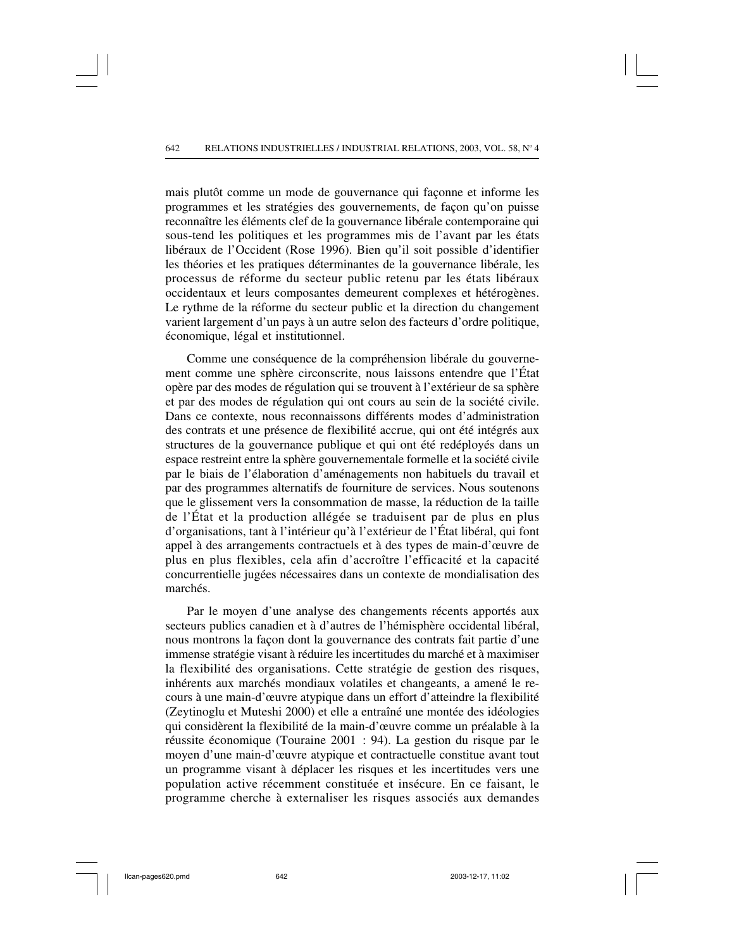mais plutôt comme un mode de gouvernance qui façonne et informe les programmes et les stratégies des gouvernements, de façon qu'on puisse reconnaître les éléments clef de la gouvernance libérale contemporaine qui sous-tend les politiques et les programmes mis de l'avant par les états libéraux de l'Occident (Rose 1996). Bien qu'il soit possible d'identifier les théories et les pratiques déterminantes de la gouvernance libérale, les processus de réforme du secteur public retenu par les états libéraux occidentaux et leurs composantes demeurent complexes et hétérogènes. Le rythme de la réforme du secteur public et la direction du changement varient largement d'un pays à un autre selon des facteurs d'ordre politique, économique, légal et institutionnel.

Comme une conséquence de la compréhension libérale du gouvernement comme une sphère circonscrite, nous laissons entendre que l'État opère par des modes de régulation qui se trouvent à l'extérieur de sa sphère et par des modes de régulation qui ont cours au sein de la société civile. Dans ce contexte, nous reconnaissons différents modes d'administration des contrats et une présence de flexibilité accrue, qui ont été intégrés aux structures de la gouvernance publique et qui ont été redéployés dans un espace restreint entre la sphère gouvernementale formelle et la société civile par le biais de l'élaboration d'aménagements non habituels du travail et par des programmes alternatifs de fourniture de services. Nous soutenons que le glissement vers la consommation de masse, la réduction de la taille de l'État et la production allégée se traduisent par de plus en plus d'organisations, tant à l'intérieur qu'à l'extérieur de l'État libéral, qui font appel à des arrangements contractuels et à des types de main-d'œuvre de plus en plus flexibles, cela afin d'accroître l'efficacité et la capacité concurrentielle jugées nécessaires dans un contexte de mondialisation des marchés.

Par le moyen d'une analyse des changements récents apportés aux secteurs publics canadien et à d'autres de l'hémisphère occidental libéral, nous montrons la façon dont la gouvernance des contrats fait partie d'une immense stratégie visant à réduire les incertitudes du marché et à maximiser la flexibilité des organisations. Cette stratégie de gestion des risques, inhérents aux marchés mondiaux volatiles et changeants, a amené le recours à une main-d'œuvre atypique dans un effort d'atteindre la flexibilité (Zeytinoglu et Muteshi 2000) et elle a entraîné une montée des idéologies qui considèrent la flexibilité de la main-d'œuvre comme un préalable à la réussite économique (Touraine 2001 : 94). La gestion du risque par le moyen d'une main-d'œuvre atypique et contractuelle constitue avant tout un programme visant à déplacer les risques et les incertitudes vers une population active récemment constituée et insécure. En ce faisant, le programme cherche à externaliser les risques associés aux demandes